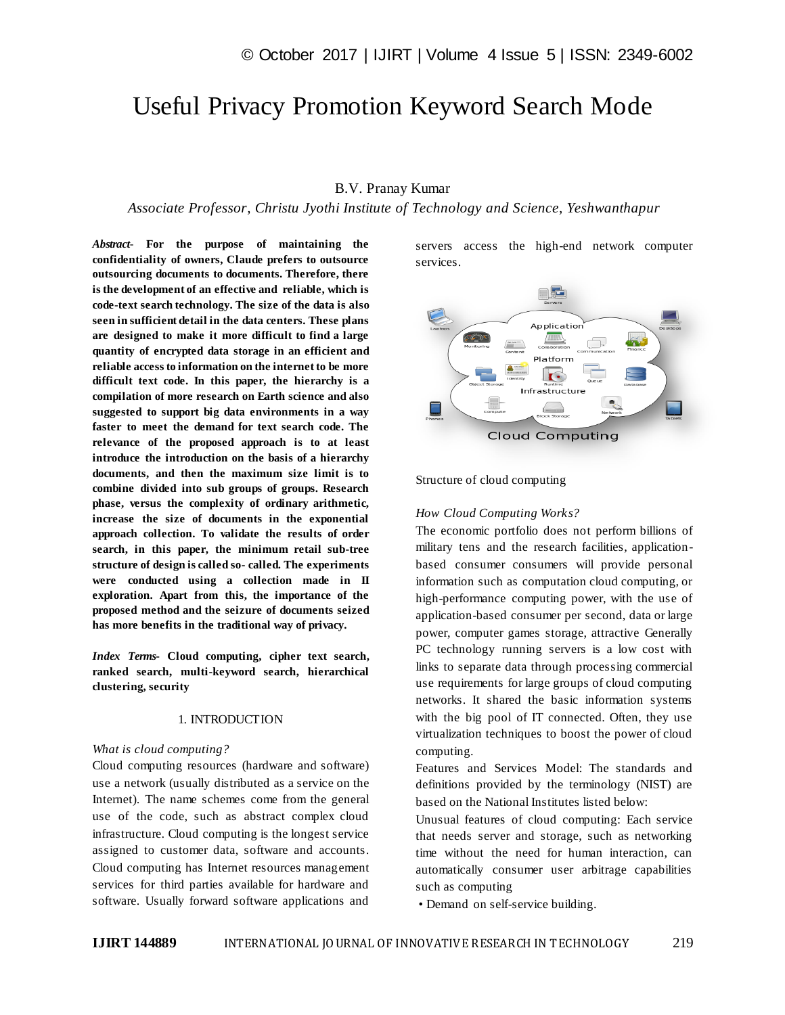# Useful Privacy Promotion Keyword Search Mode

# B.V. Pranay Kumar

*Associate Professor, Christu Jyothi Institute of Technology and Science, Yeshwanthapur*

*Abstract*- **For the purpose of maintaining the confidentiality of owners, Claude prefers to outsource outsourcing documents to documents. Therefore, there is the development of an effective and reliable, which is code-text search technology. The size of the data is also seen in sufficient detail in the data centers. These plans are designed to make it more difficult to find a large quantity of encrypted data storage in an efficient and reliable access to information on the internet to be more difficult text code. In this paper, the hierarchy is a compilation of more research on Earth science and also suggested to support big data environments in a way faster to meet the demand for text search code. The relevance of the proposed approach is to at least introduce the introduction on the basis of a hierarchy documents, and then the maximum size limit is to combine divided into sub groups of groups. Research phase, versus the complexity of ordinary arithmetic, increase the size of documents in the exponential approach collection. To validate the results of order search, in this paper, the minimum retail sub-tree structure of design is called so- called. The experiments were conducted using a collection made in II exploration. Apart from this, the importance of the proposed method and the seizure of documents seized has more benefits in the traditional way of privacy.**

*Index Terms***- Cloud computing, cipher text search, ranked search, multi-keyword search, hierarchical clustering, security**

### 1. INTRODUCTION

#### *What is cloud computing?*

Cloud computing resources (hardware and software) use a network (usually distributed as a service on the Internet). The name schemes come from the general use of the code, such as abstract complex cloud infrastructure. Cloud computing is the longest service assigned to customer data, software and accounts. Cloud computing has Internet resources management services for third parties available for hardware and software. Usually forward software applications and servers access the high-end network computer services.



Structure of cloud computing

#### *How Cloud Computing Works?*

The economic portfolio does not perform billions of military tens and the research facilities, applicationbased consumer consumers will provide personal information such as computation cloud computing, or high-performance computing power, with the use of application-based consumer per second, data or large power, computer games storage, attractive Generally PC technology running servers is a low cost with links to separate data through processing commercial use requirements for large groups of cloud computing networks. It shared the basic information systems with the big pool of IT connected. Often, they use virtualization techniques to boost the power of cloud computing.

Features and Services Model: The standards and definitions provided by the terminology (NIST) are based on the National Institutes listed below:

Unusual features of cloud computing: Each service that needs server and storage, such as networking time without the need for human interaction, can automatically consumer user arbitrage capabilities such as computing

• Demand on self-service building.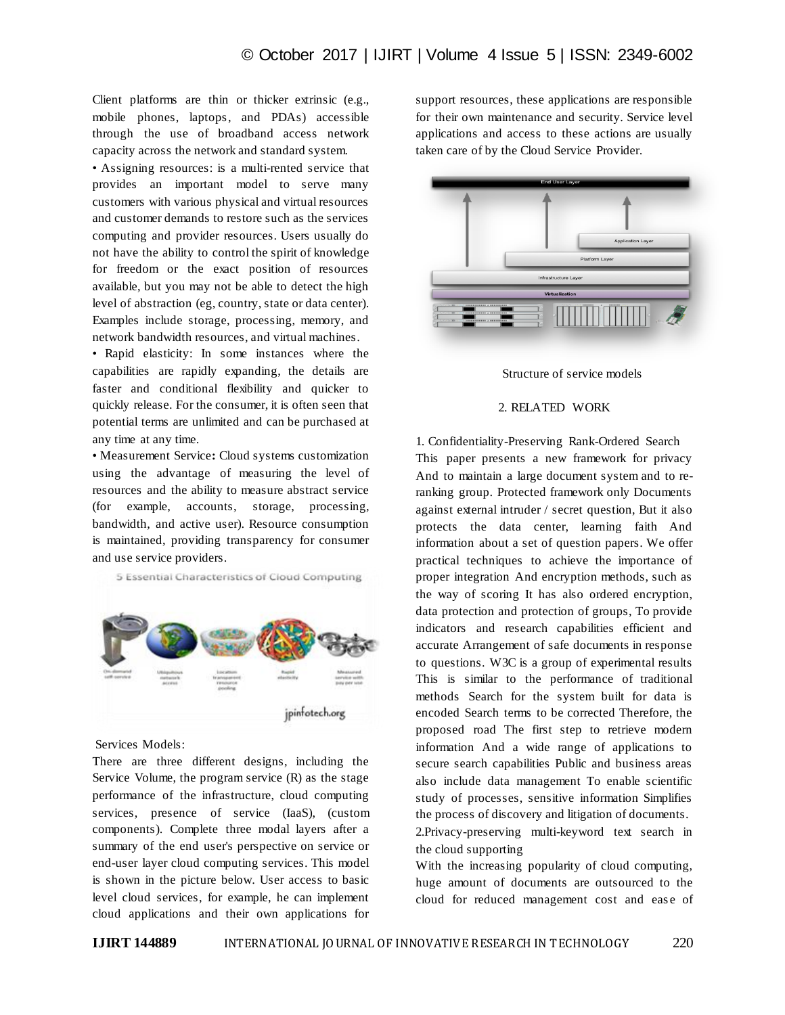Client platforms are thin or thicker extrinsic (e.g., mobile phones, laptops, and PDAs) accessible through the use of broadband access network capacity across the network and standard system.

• Assigning resources: is a multi-rented service that provides an important model to serve many customers with various physical and virtual resources and customer demands to restore such as the services computing and provider resources. Users usually do not have the ability to control the spirit of knowledge for freedom or the exact position of resources available, but you may not be able to detect the high level of abstraction (eg, country, state or data center). Examples include storage, processing, memory, and network bandwidth resources, and virtual machines.

• Rapid elasticity: In some instances where the capabilities are rapidly expanding, the details are faster and conditional flexibility and quicker to quickly release. For the consumer, it is often seen that potential terms are unlimited and can be purchased at any time at any time.

• Measurement Service**:** Cloud systems customization using the advantage of measuring the level of resources and the ability to measure abstract service (for example, accounts, storage, processing, bandwidth, and active user). Resource consumption is maintained, providing transparency for consumer and use service providers.



Services Models:

There are three different designs, including the Service Volume, the program service (R) as the stage performance of the infrastructure, cloud computing services, presence of service (IaaS), (custom components). Complete three modal layers after a summary of the end user's perspective on service or end-user layer cloud computing services. This model is shown in the picture below. User access to basic level cloud services, for example, he can implement cloud applications and their own applications for

support resources, these applications are responsible for their own maintenance and security. Service level applications and access to these actions are usually taken care of by the Cloud Service Provider.



Structure of service models

# 2. RELATED WORK

1. Confidentiality-Preserving Rank-Ordered Search This paper presents a new framework for privacy And to maintain a large document system and to reranking group. Protected framework only Documents against external intruder / secret question, But it also protects the data center, learning faith And information about a set of question papers. We offer practical techniques to achieve the importance of proper integration And encryption methods, such as the way of scoring It has also ordered encryption, data protection and protection of groups, To provide indicators and research capabilities efficient and accurate Arrangement of safe documents in response to questions. W3C is a group of experimental results This is similar to the performance of traditional methods Search for the system built for data is encoded Search terms to be corrected Therefore, the proposed road The first step to retrieve modern information And a wide range of applications to secure search capabilities Public and business areas also include data management To enable scientific study of processes, sensitive information Simplifies the process of discovery and litigation of documents.

2.Privacy-preserving multi-keyword text search in the cloud supporting

With the increasing popularity of cloud computing, huge amount of documents are outsourced to the cloud for reduced management cost and ease of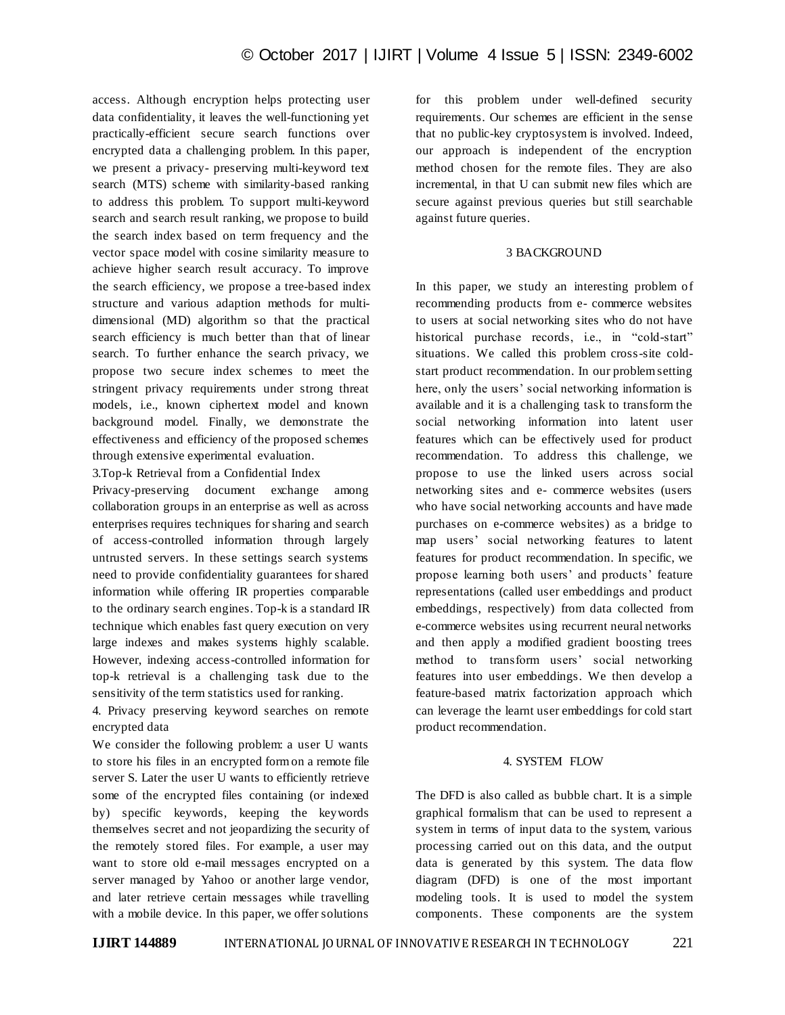access. Although encryption helps protecting user data confidentiality, it leaves the well-functioning yet practically-efficient secure search functions over encrypted data a challenging problem. In this paper, we present a privacy- preserving multi-keyword text search (MTS) scheme with similarity-based ranking to address this problem. To support multi-keyword search and search result ranking, we propose to build the search index based on term frequency and the vector space model with cosine similarity measure to achieve higher search result accuracy. To improve the search efficiency, we propose a tree-based index structure and various adaption methods for multidimensional (MD) algorithm so that the practical search efficiency is much better than that of linear search. To further enhance the search privacy, we propose two secure index schemes to meet the stringent privacy requirements under strong threat models, i.e., known ciphertext model and known background model. Finally, we demonstrate the effectiveness and efficiency of the proposed schemes through extensive experimental evaluation.

3.Top-k Retrieval from a Confidential Index

Privacy-preserving document exchange among collaboration groups in an enterprise as well as across enterprises requires techniques for sharing and search of access-controlled information through largely untrusted servers. In these settings search systems need to provide confidentiality guarantees for shared information while offering IR properties comparable to the ordinary search engines. Top-k is a standard IR technique which enables fast query execution on very large indexes and makes systems highly scalable. However, indexing access-controlled information for top-k retrieval is a challenging task due to the sensitivity of the term statistics used for ranking.

4. Privacy preserving keyword searches on remote encrypted data

We consider the following problem: a user U wants to store his files in an encrypted form on a remote file server S. Later the user U wants to efficiently retrieve some of the encrypted files containing (or indexed by) specific keywords, keeping the keywords themselves secret and not jeopardizing the security of the remotely stored files. For example, a user may want to store old e-mail messages encrypted on a server managed by Yahoo or another large vendor, and later retrieve certain messages while travelling with a mobile device. In this paper, we offer solutions

for this problem under well-defined security requirements. Our schemes are efficient in the sense that no public-key cryptosystem is involved. Indeed, our approach is independent of the encryption method chosen for the remote files. They are also incremental, in that U can submit new files which are secure against previous queries but still searchable against future queries.

# 3 BACKGROUND

In this paper, we study an interesting problem of recommending products from e- commerce websites to users at social networking sites who do not have historical purchase records, i.e., in "cold-start" situations. We called this problem cross-site coldstart product recommendation. In our problem setting here, only the users' social networking information is available and it is a challenging task to transform the social networking information into latent user features which can be effectively used for product recommendation. To address this challenge, we propose to use the linked users across social networking sites and e- commerce websites (users who have social networking accounts and have made purchases on e-commerce websites) as a bridge to map users' social networking features to latent features for product recommendation. In specific, we propose learning both users' and products' feature representations (called user embeddings and product embeddings, respectively) from data collected from e-commerce websites using recurrent neural networks and then apply a modified gradient boosting trees method to transform users' social networking features into user embeddings. We then develop a feature-based matrix factorization approach which can leverage the learnt user embeddings for cold start product recommendation.

# 4. SYSTEM FLOW

The DFD is also called as bubble chart. It is a simple graphical formalism that can be used to represent a system in terms of input data to the system, various processing carried out on this data, and the output data is generated by this system. The data flow diagram (DFD) is one of the most important modeling tools. It is used to model the system components. These components are the system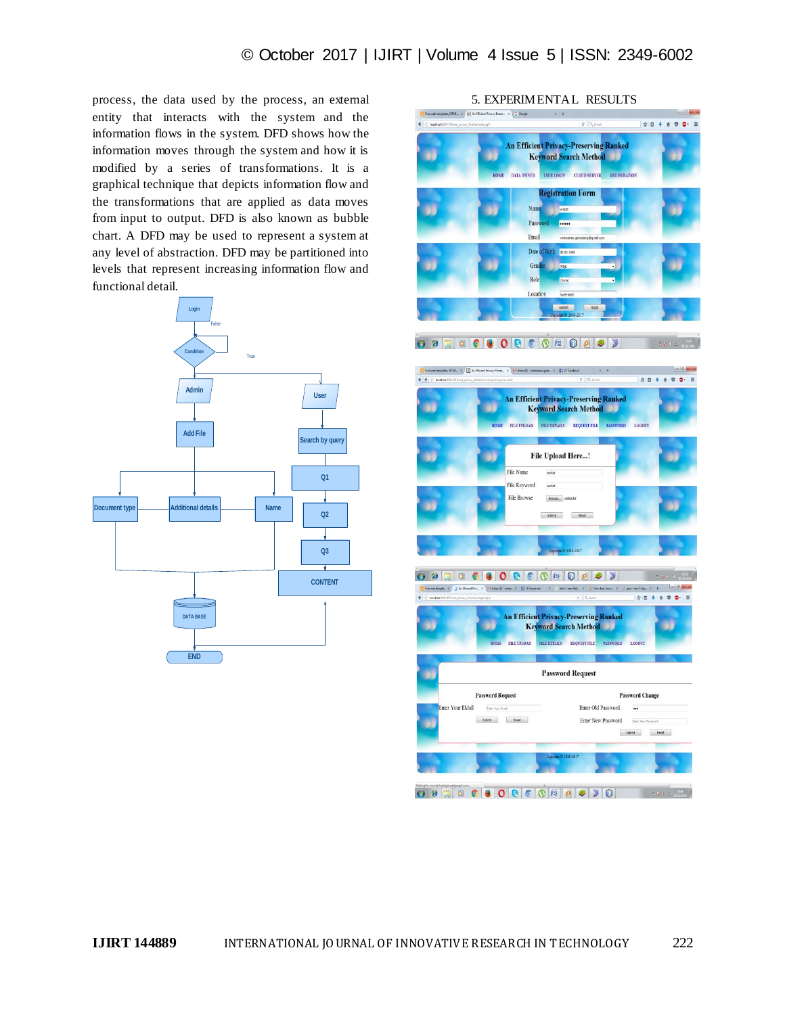# © October 2017 | IJIRT | Volume 4 Issue 5 | ISSN: 2349-6002

process, the data used by the process, an external entity that interacts with the system and the information flows in the system. DFD shows how the information moves through the system and how it is modified by a series of transformations. It is a graphical technique that depicts information flow and the transformations that are applied as data moves from input to output. DFD is also known as bubble chart. A DFD may be used to represent a system at any level of abstraction. DFD may be partitioned into levels that represent increasing information flow and functional detail.





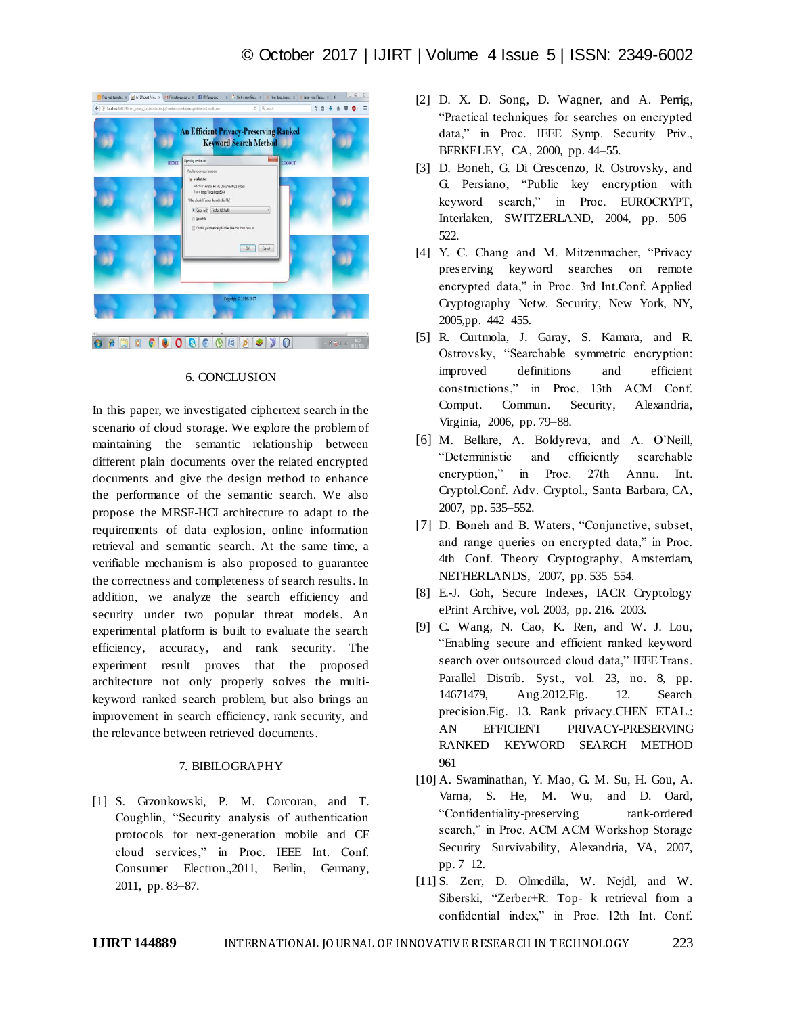

### 6. CONCLUSION

In this paper, we investigated ciphertext search in the scenario of cloud storage. We explore the problem of maintaining the semantic relationship between different plain documents over the related encrypted documents and give the design method to enhance the performance of the semantic search. We also propose the MRSE-HCI architecture to adapt to the requirements of data explosion, online information retrieval and semantic search. At the same time, a verifiable mechanism is also proposed to guarantee the correctness and completeness of search results. In addition, we analyze the search efficiency and security under two popular threat models. An experimental platform is built to evaluate the search efficiency, accuracy, and rank security. The experiment result proves that the proposed architecture not only properly solves the multikeyword ranked search problem, but also brings an improvement in search efficiency, rank security, and the relevance between retrieved documents.

#### 7. BIBILOGRAPHY

[1] S. Grzonkowski, P. M. Corcoran, and T. Coughlin, "Security analysis of authentication protocols for next-generation mobile and CE cloud services," in Proc. IEEE Int. Conf. Consumer Electron.,2011, Berlin, Germany, 2011, pp. 83–87.

- [2] D. X. D. Song, D. Wagner, and A. Perrig, "Practical techniques for searches on encrypted data," in Proc. IEEE Symp. Security Priv., BERKELEY, CA, 2000, pp. 44–55.
- [3] D. Boneh, G. Di Crescenzo, R. Ostrovsky, and G. Persiano, "Public key encryption with keyword search," in Proc. EUROCRYPT, Interlaken, SWITZERLAND, 2004, pp. 506– 522.
- [4] Y. C. Chang and M. Mitzenmacher, "Privacy preserving keyword searches on remote encrypted data," in Proc. 3rd Int.Conf. Applied Cryptography Netw. Security, New York, NY, 2005,pp. 442–455.
- [5] R. Curtmola, J. Garay, S. Kamara, and R. Ostrovsky, "Searchable symmetric encryption: improved definitions and efficient constructions," in Proc. 13th ACM Conf. Comput. Commun. Security, Alexandria, Virginia, 2006, pp. 79–88.
- [6] M. Bellare, A. Boldyreva, and A. O'Neill, "Deterministic and efficiently searchable encryption," in Proc. 27th Annu. Int. Cryptol.Conf. Adv. Cryptol., Santa Barbara, CA, 2007, pp. 535–552.
- [7] D. Boneh and B. Waters, "Conjunctive, subset, and range queries on encrypted data," in Proc. 4th Conf. Theory Cryptography, Amsterdam, NETHERLANDS, 2007, pp. 535–554.
- [8] E.-J. Goh, Secure Indexes, IACR Cryptology ePrint Archive, vol. 2003, pp. 216. 2003.
- [9] C. Wang, N. Cao, K. Ren, and W. J. Lou, "Enabling secure and efficient ranked keyword search over outsourced cloud data," IEEE Trans. Parallel Distrib. Syst., vol. 23, no. 8, pp. 14671479, Aug.2012.Fig. 12. Search precision.Fig. 13. Rank privacy.CHEN ETAL.: AN EFFICIENT PRIVACY-PRESERVING RANKED KEYWORD SEARCH METHOD 961
- [10] A. Swaminathan, Y. Mao, G. M. Su, H. Gou, A. Varna, S. He, M. Wu, and D. Oard, "Confidentiality-preserving rank-ordered search," in Proc. ACM ACM Workshop Storage Security Survivability, Alexandria, VA, 2007, pp. 7–12.
- [11] S. Zerr, D. Olmedilla, W. Nejdl, and W. Siberski, "Zerber+R: Top- k retrieval from a confidential index," in Proc. 12th Int. Conf.